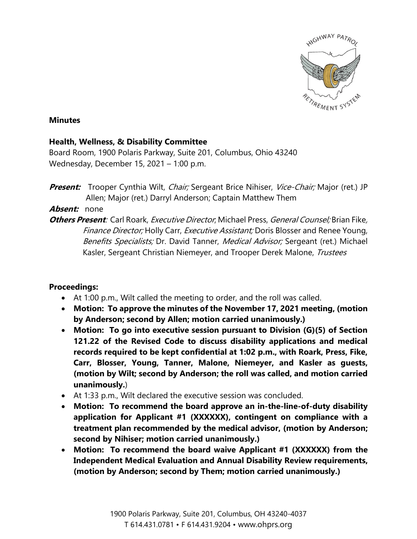

### **Minutes**

# **Health, Wellness, & Disability Committee**

Board Room, 1900 Polaris Parkway, Suite 201, Columbus, Ohio 43240 Wednesday, December 15, 2021 – 1:00 p.m.

**Present:** Trooper Cynthia Wilt, *Chair;* Sergeant Brice Nihiser, *Vice-Chair;* Major (ret.) JP Allen; Major (ret.) Darryl Anderson; Captain Matthew Them

# **Absent:** none

**Others Present**: Carl Roark, Executive Director; Michael Press, General Counsel; Brian Fike, Finance Director; Holly Carr, Executive Assistant; Doris Blosser and Renee Young, Benefits Specialists; Dr. David Tanner, Medical Advisor; Sergeant (ret.) Michael Kasler, Sergeant Christian Niemeyer, and Trooper Derek Malone, Trustees

# **Proceedings:**

- At 1:00 p.m., Wilt called the meeting to order, and the roll was called.
- **Motion: To approve the minutes of the November 17, 2021 meeting, (motion by Anderson; second by Allen; motion carried unanimously.)**
- **Motion: To go into executive session pursuant to Division (G)(5) of Section 121.22 of the Revised Code to discuss disability applications and medical records required to be kept confidential at 1:02 p.m., with Roark, Press, Fike, Carr, Blosser, Young, Tanner, Malone, Niemeyer, and Kasler as guests, (motion by Wilt; second by Anderson; the roll was called, and motion carried unanimously.**)
- At 1:33 p.m., Wilt declared the executive session was concluded.
- **Motion: To recommend the board approve an in-the-line-of-duty disability application for Applicant #1 (XXXXXX), contingent on compliance with a treatment plan recommended by the medical advisor, (motion by Anderson; second by Nihiser; motion carried unanimously.)**
- **Motion: To recommend the board waive Applicant #1 (XXXXXX) from the Independent Medical Evaluation and Annual Disability Review requirements, (motion by Anderson; second by Them; motion carried unanimously.)**